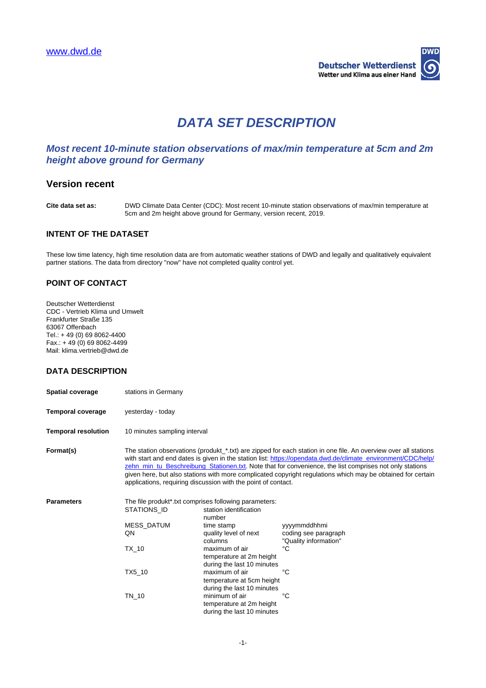

# **DATA SET DESCRIPTION**

# **Most recent 10-minute station observations of max/min temperature at 5cm and 2m height above ground for Germany**

# **Version recent**

**Cite data set as:** DWD Climate Data Center (CDC): Most recent 10-minute station observations of max/min temperature at 5cm and 2m height above ground for Germany, version recent, 2019.

### **INTENT OF THE DATASET**

These low time latency, high time resolution data are from automatic weather stations of DWD and legally and qualitatively equivalent partner stations. The data from directory "now" have not completed quality control yet.

## **POINT OF CONTACT**

Deutscher Wetterdienst CDC - Vertrieb Klima und Umwelt Frankfurter Straße 135 63067 Offenbach Tel.: + 49 (0) 69 8062-4400 Fax.: + 49 (0) 69 8062-4499 Mail: klima.vertrieb@dwd.de

# **DATA DESCRIPTION**

| <b>Spatial coverage</b>    | stations in Germany                                                                                                                                                                                                                                                                                                                                                                                                                                                                                                        |                                                                                                                                                                                                                                                                                                                                                                                  |                                                                                 |  |
|----------------------------|----------------------------------------------------------------------------------------------------------------------------------------------------------------------------------------------------------------------------------------------------------------------------------------------------------------------------------------------------------------------------------------------------------------------------------------------------------------------------------------------------------------------------|----------------------------------------------------------------------------------------------------------------------------------------------------------------------------------------------------------------------------------------------------------------------------------------------------------------------------------------------------------------------------------|---------------------------------------------------------------------------------|--|
| <b>Temporal coverage</b>   | yesterday - today                                                                                                                                                                                                                                                                                                                                                                                                                                                                                                          |                                                                                                                                                                                                                                                                                                                                                                                  |                                                                                 |  |
| <b>Temporal resolution</b> | 10 minutes sampling interval                                                                                                                                                                                                                                                                                                                                                                                                                                                                                               |                                                                                                                                                                                                                                                                                                                                                                                  |                                                                                 |  |
| Format(s)                  | The station observations (produkt_*.txt) are zipped for each station in one file. An overview over all stations<br>with start and end dates is given in the station list: https://opendata.dwd.de/climate_environment/CDC/help/<br>zehn_min_tu_Beschreibung_Stationen.txt. Note that for convenience, the list comprises not only stations<br>given here, but also stations with more complicated copyright regulations which may be obtained for certain<br>applications, requiring discussion with the point of contact. |                                                                                                                                                                                                                                                                                                                                                                                  |                                                                                 |  |
| <b>Parameters</b>          | STATIONS ID<br>MESS_DATUM<br>QN<br>TX 10<br>TX5_10<br>TN_10                                                                                                                                                                                                                                                                                                                                                                                                                                                                | The file produkt*.txt comprises following parameters:<br>station identification<br>number<br>time stamp<br>quality level of next<br>columns<br>maximum of air<br>temperature at 2m height<br>during the last 10 minutes<br>maximum of air<br>temperature at 5cm height<br>during the last 10 minutes<br>minimum of air<br>temperature at 2m height<br>during the last 10 minutes | vyyymmddhhmi<br>coding see paragraph<br>"Quality information"<br>°C<br>°C<br>°C |  |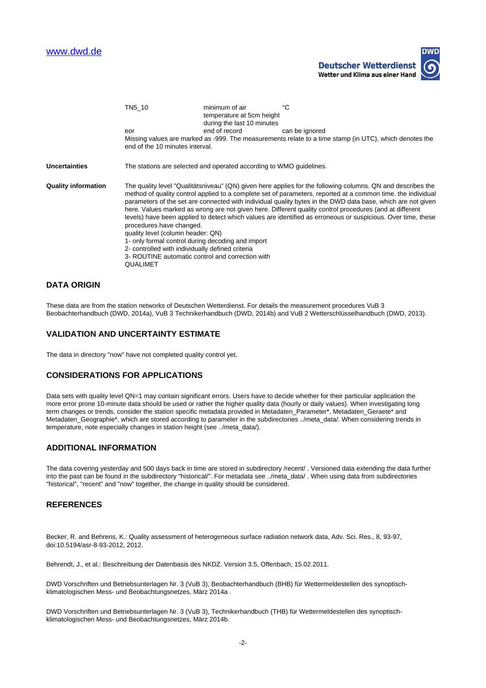

|                            | TN5 10                                                                                                                                                                                                                                                                                                                                                                                                                                                                                                                                                                                                                                                                                                                                                                                                                 | minimum of air<br>temperature at 5cm height<br>during the last 10 minutes                              | °C             |  |  |
|----------------------------|------------------------------------------------------------------------------------------------------------------------------------------------------------------------------------------------------------------------------------------------------------------------------------------------------------------------------------------------------------------------------------------------------------------------------------------------------------------------------------------------------------------------------------------------------------------------------------------------------------------------------------------------------------------------------------------------------------------------------------------------------------------------------------------------------------------------|--------------------------------------------------------------------------------------------------------|----------------|--|--|
|                            | eor                                                                                                                                                                                                                                                                                                                                                                                                                                                                                                                                                                                                                                                                                                                                                                                                                    | end of record                                                                                          | can be ignored |  |  |
|                            | end of the 10 minutes interval.                                                                                                                                                                                                                                                                                                                                                                                                                                                                                                                                                                                                                                                                                                                                                                                        | Missing values are marked as -999. The measurements relate to a time stamp (in UTC), which denotes the |                |  |  |
| Uncertainties              | The stations are selected and operated according to WMO guidelines.                                                                                                                                                                                                                                                                                                                                                                                                                                                                                                                                                                                                                                                                                                                                                    |                                                                                                        |                |  |  |
| <b>Quality information</b> | The quality level "Qualitätsniveau" (QN) given here applies for the following columns. QN and describes the<br>method of quality control applied to a complete set of parameters, reported at a common time. the individual<br>parameters of the set are connected with individual quality bytes in the DWD data base, which are not given<br>here. Values marked as wrong are not given here. Different quality control procedures (and at different<br>levels) have been applied to detect which values are identified as erroneous or suspicious. Over time, these<br>procedures have changed.<br>quality level (column header: QN)<br>1- only formal control during decoding and import<br>2- controlled with individually defined criteria<br>3- ROUTINE automatic control and correction with<br><b>QUALIMET</b> |                                                                                                        |                |  |  |

## **DATA ORIGIN**

These data are from the station networks of Deutschen Wetterdienst. For details the measurement procedures VuB 3 Beobachterhandbuch (DWD, 2014a), VuB 3 Technikerhandbuch (DWD, 2014b) and VuB 2 Wetterschlüsselhandbuch (DWD, 2013).

#### **VALIDATION AND UNCERTAINTY ESTIMATE**

The data in directory "now" have not completed quality control yet.

#### **CONSIDERATIONS FOR APPLICATIONS**

Data sets with quality level QN=1 may contain significant errors. Users have to decide whether for their particular application the more error prone 10-minute data should be used or rather the higher quality data (hourly or daily values). When investigating long term changes or trends, consider the station specific metadata provided in Metadaten Parameter\*, Metadaten Geraete\* and Metadaten\_Geographie\*, which are stored according to parameter in the subdirectories ../meta\_data/. When considering trends in temperature, note especially changes in station height (see ../meta\_data/).

#### **ADDITIONAL INFORMATION**

The data covering yesterday and 500 days back in time are stored in subdirectory /recent/ . Versioned data extending the data further into the past can be found in the subdirectory "historical/". For metadata see ../meta\_data/ . When using data from subdirectories "historical", "recent" and "now" together, the change in quality should be considered.

#### **REFERENCES**

Becker, R. and Behrens, K.: Quality assessment of heterogeneous surface radiation network data, Adv. Sci. Res., 8, 93-97, doi:10.5194/asr-8-93-2012, 2012.

Behrendt, J., et al.: Beschreibung der Datenbasis des NKDZ. Version 3.5, Offenbach, 15.02.2011.

DWD Vorschriften und Betriebsunterlagen Nr. 3 (VuB 3), Beobachterhandbuch (BHB) für Wettermeldestellen des synoptischklimatologischen Mess- und Beobachtungsnetzes, März 2014a .

DWD Vorschriften und Betriebsunterlagen Nr. 3 (VuB 3), Technikerhandbuch (THB) für Wettermeldestellen des synoptischklimatologischen Mess- und Beobachtungsnetzes, März 2014b.